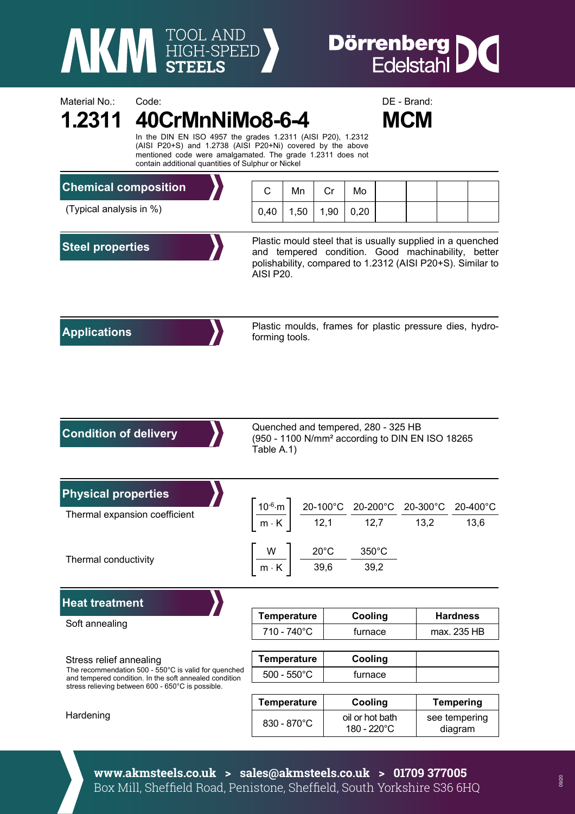

Material No.: Code: Code: Code: DE - Brand:

## **Dörrenberg** 10

|                                                                                                                                                                                                             | <b>MCM</b><br>In the DIN EN ISO 4957 the grades 1.2311 (AISI P20), 1.2312<br>(AISI P20+S) and 1.2738 (AISI P20+Ni) covered by the above<br>mentioned code were amalgamated. The grade 1.2311 does not<br>contain additional quantities of Sulphur or Nickel |                                                                                                                                                                                                                                                |      |      |                                |  |                                |                          |                                                          |  |
|-------------------------------------------------------------------------------------------------------------------------------------------------------------------------------------------------------------|-------------------------------------------------------------------------------------------------------------------------------------------------------------------------------------------------------------------------------------------------------------|------------------------------------------------------------------------------------------------------------------------------------------------------------------------------------------------------------------------------------------------|------|------|--------------------------------|--|--------------------------------|--------------------------|----------------------------------------------------------|--|
| <b>Chemical composition</b>                                                                                                                                                                                 |                                                                                                                                                                                                                                                             | C                                                                                                                                                                                                                                              | Mn   | Cr   | Mo                             |  |                                |                          |                                                          |  |
| (Typical analysis in %)                                                                                                                                                                                     |                                                                                                                                                                                                                                                             | 0,40                                                                                                                                                                                                                                           | 1,50 | 1,90 | 0,20                           |  |                                |                          |                                                          |  |
| <b>Steel properties</b>                                                                                                                                                                                     |                                                                                                                                                                                                                                                             | Plastic mould steel that is usually supplied in a quenched<br>and tempered condition. Good machinability, better<br>polishability, compared to 1.2312 (AISI P20+S). Similar to<br>AISI P20.                                                    |      |      |                                |  |                                |                          |                                                          |  |
| <b>Applications</b>                                                                                                                                                                                         |                                                                                                                                                                                                                                                             | forming tools.                                                                                                                                                                                                                                 |      |      |                                |  |                                |                          | Plastic moulds, frames for plastic pressure dies, hydro- |  |
| <b>Condition of delivery</b>                                                                                                                                                                                |                                                                                                                                                                                                                                                             | Quenched and tempered, 280 - 325 HB<br>(950 - 1100 N/mm <sup>2</sup> according to DIN EN ISO 18265<br>Table A.1)                                                                                                                               |      |      |                                |  |                                |                          |                                                          |  |
| <b>Physical properties</b><br>Thermal expansion coefficient                                                                                                                                                 |                                                                                                                                                                                                                                                             | $\left. \frac{10^{-6} \text{ m}}{\text{m} \cdot \text{K}} \right  \quad \frac{20-100^{\circ} \text{C}}{12,1} \quad \frac{20-200^{\circ} \text{C}}{12,7} \quad \frac{20-300^{\circ} \text{C}}{13,2} \quad \frac{20-400^{\circ} \text{C}}{13,6}$ |      |      |                                |  |                                |                          |                                                          |  |
| Thermal conductivity                                                                                                                                                                                        |                                                                                                                                                                                                                                                             | W<br>$20^{\circ}$ C<br>350°C<br>39,6<br>39,2<br>$m\cdot K$                                                                                                                                                                                     |      |      |                                |  |                                |                          |                                                          |  |
| <b>Heat treatment</b>                                                                                                                                                                                       |                                                                                                                                                                                                                                                             |                                                                                                                                                                                                                                                |      |      |                                |  |                                |                          |                                                          |  |
| Soft annealing                                                                                                                                                                                              |                                                                                                                                                                                                                                                             | <b>Temperature</b>                                                                                                                                                                                                                             |      |      | Cooling                        |  | <b>Hardness</b><br>max. 235 HB |                          |                                                          |  |
|                                                                                                                                                                                                             |                                                                                                                                                                                                                                                             | 710 - 740°C<br>furnace                                                                                                                                                                                                                         |      |      |                                |  |                                |                          |                                                          |  |
| Stress relief annealing<br>The recommendation 500 - 550°C is valid for quenched<br>and tempered condition. In the soft annealed condition<br>stress relieving between 600 - 650°C is possible.<br>Hardening |                                                                                                                                                                                                                                                             | <b>Temperature</b>                                                                                                                                                                                                                             |      |      | Cooling                        |  |                                |                          |                                                          |  |
|                                                                                                                                                                                                             |                                                                                                                                                                                                                                                             | $500 - 550^{\circ}$ C                                                                                                                                                                                                                          |      |      | furnace                        |  |                                |                          |                                                          |  |
|                                                                                                                                                                                                             |                                                                                                                                                                                                                                                             | <b>Temperature</b>                                                                                                                                                                                                                             |      |      | Cooling                        |  |                                | <b>Tempering</b>         |                                                          |  |
|                                                                                                                                                                                                             |                                                                                                                                                                                                                                                             | 830 - 870°C                                                                                                                                                                                                                                    |      |      | oil or hot bath<br>180 - 220°C |  |                                | see tempering<br>diagram |                                                          |  |
|                                                                                                                                                                                                             |                                                                                                                                                                                                                                                             |                                                                                                                                                                                                                                                |      |      |                                |  |                                |                          |                                                          |  |

**www.akmsteels.co.uk > sales@akmsteels.co.uk > 01709 377005**  Box Mill, Sheffield Road, Penistone, Sheffield, South Yorkshire S36 6HQ